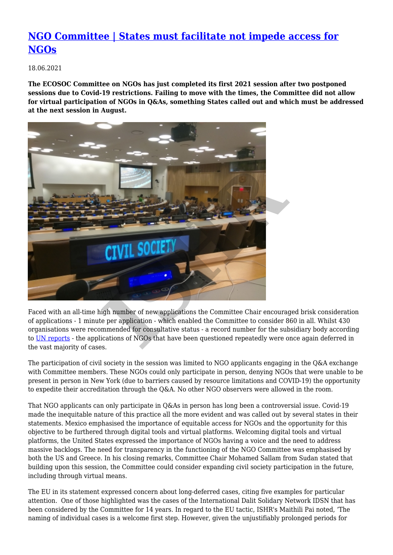## **[NGO Committee | States must facilitate not impede access for](http://archived2021.ishr.ch/news/ngo-committee-states-must-facilitate-not-impede-access-ngos) [NGOs](http://archived2021.ishr.ch/news/ngo-committee-states-must-facilitate-not-impede-access-ngos)**

18.06.2021

**The ECOSOC Committee on NGOs has just completed its first 2021 session after two postponed sessions due to Covid-19 restrictions. Failing to move with the times, the Committee did not allow for virtual participation of NGOs in Q&As, something States called out and which must be addressed at the next session in August.** 



Faced with an all-time high number of new applications the Committee Chair encouraged brisk consideration of applications - 1 minute per application - which enabled the Committee to consider 860 in all. Whilst 430 organisations were recommended for consultative status - a record number for the subsidiary body according to [UN reports](https://www.un.org/press/en/2021/ngo918.doc.htm) - the applications of NGOs that have been questioned repeatedly were once again deferred in the vast majority of cases.

The participation of civil society in the session was limited to NGO applicants engaging in the Q&A exchange with Committee members. These NGOs could only participate in person, denying NGOs that were unable to be present in person in New York (due to barriers caused by resource limitations and COVID-19) the opportunity to expedite their accreditation through the Q&A. No other NGO observers were allowed in the room.

That NGO applicants can only participate in Q&As in person has long been a controversial issue. Covid-19 made the inequitable nature of this practice all the more evident and was called out by several states in their statements. Mexico emphasised the importance of equitable access for NGOs and the opportunity for this objective to be furthered through digital tools and virtual platforms. Welcoming digital tools and virtual platforms, the United States expressed the importance of NGOs having a voice and the need to address massive backlogs. The need for transparency in the functioning of the NGO Committee was emphasised by both the US and Greece. In his closing remarks, Committee Chair Mohamed Sallam from Sudan stated that building upon this session, the Committee could consider expanding civil society participation in the future, including through virtual means.

The EU in its statement expressed concern about long-deferred cases, citing five examples for particular attention. One of those highlighted was the cases of the International Dalit Solidary Network IDSN that has been considered by the Committee for 14 years. In regard to the EU tactic, ISHR's Maithili Pai noted, 'The naming of individual cases is a welcome first step. However, given the unjustifiably prolonged periods for